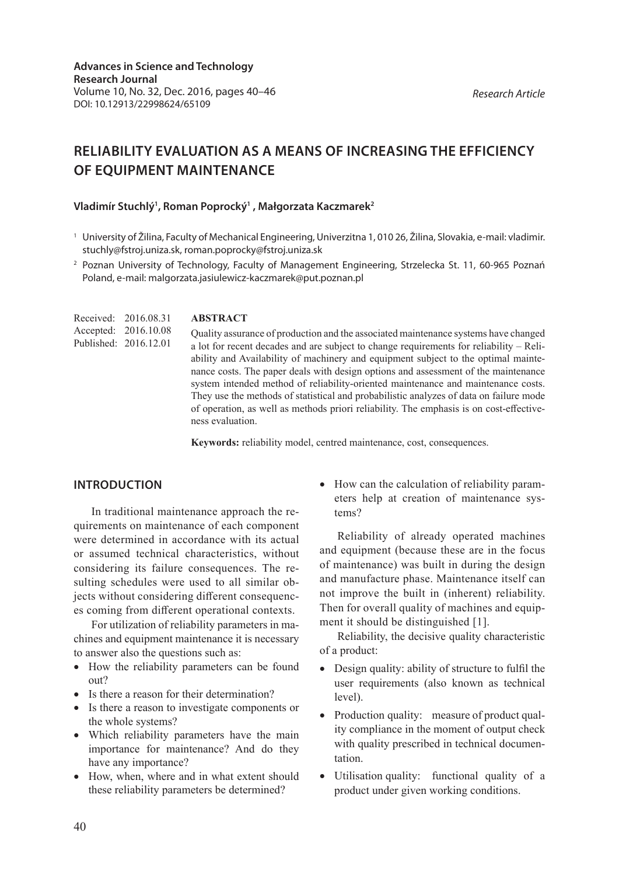# **RELIABILITY EVALUATION AS A MEANS OF INCREASING THE EFFICIENCY OF EQUIPMENT MAINTENANCE**

### **Vladimír Stuchlý1 , Roman Poprocký1 , Małgorzata Kaczmarek2**

<sup>2</sup> Poznan University of Technology, Faculty of Management Engineering, Strzelecka St. 11, 60-965 Poznań Poland, e-mail: malgorzata.jasiulewicz-kaczmarek@put.poznan.pl

| Received: 2016.08.31  |                      |
|-----------------------|----------------------|
|                       | Accepted: 2016.10.08 |
| Published: 2016.12.01 |                      |

**ABSTRACT**

Quality assurance of production and the associated maintenance systems have changed a lot for recent decades and are subject to change requirements for reliability – Reliability and Availability of machinery and equipment subject to the optimal maintenance costs. The paper deals with design options and assessment of the maintenance system intended method of reliability-oriented maintenance and maintenance costs. They use the methods of statistical and probabilistic analyzes of data on failure mode of operation, as well as methods priori reliability. The emphasis is on cost-effectiveness evaluation.

**Keywords:** reliability model, centred maintenance, cost, consequences.

# **INTRODUCTION**

In traditional maintenance approach the requirements on maintenance of each component were determined in accordance with its actual or assumed technical characteristics, without considering its failure consequences. The resulting schedules were used to all similar objects without considering different consequences coming from different operational contexts.

For utilization of reliability parameters in machines and equipment maintenance it is necessary to answer also the questions such as:

- How the reliability parameters can be found out?
- Is there a reason for their determination?
- Is there a reason to investigate components or the whole systems?
- Which reliability parameters have the main importance for maintenance? And do they have any importance?
- How, when, where and in what extent should these reliability parameters be determined?

• How can the calculation of reliability parameters help at creation of maintenance systems?

Reliability of already operated machines and equipment (because these are in the focus of maintenance) was built in during the design and manufacture phase. Maintenance itself can not improve the built in (inherent) reliability. Then for overall quality of machines and equipment it should be distinguished [1].

Reliability, the decisive quality characteristic of a product:

- Design quality: ability of structure to fulfil the user requirements (also known as technical level).
- Production quality: measure of product quality compliance in the moment of output check with quality prescribed in technical documentation.
- Utilisation quality: functional quality of a product under given working conditions.

<sup>1</sup> University of Žilina, Faculty of Mechanical Engineering, Univerzitna 1, 010 26, Žilina, Slovakia, e-mail: vladimir. stuchly@fstroj.uniza.sk, roman.poprocky@fstroj.uniza.sk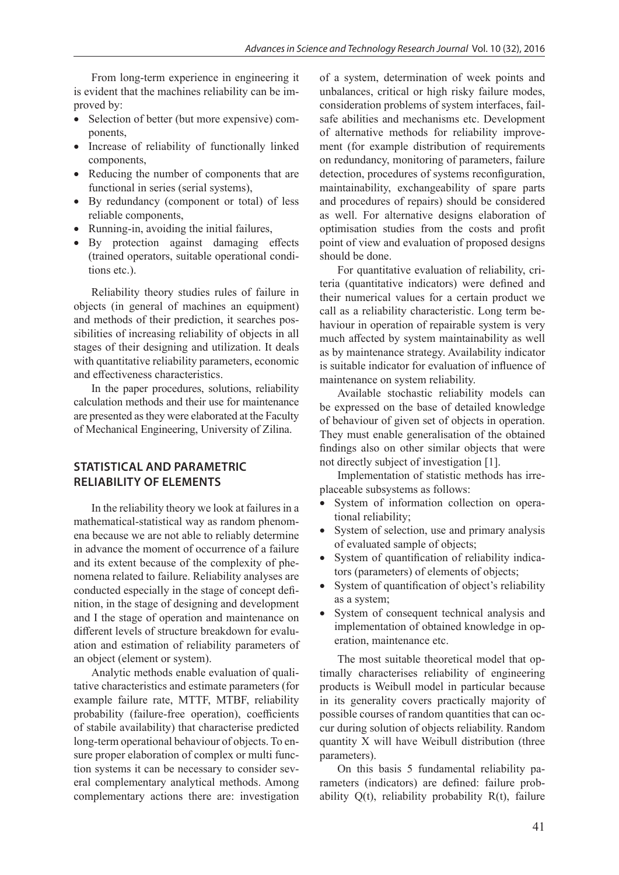From long-term experience in engineering it is evident that the machines reliability can be improved by:

- Selection of better (but more expensive) components,
- Increase of reliability of functionally linked components,
- Reducing the number of components that are functional in series (serial systems),
- By redundancy (component or total) of less reliable components,
- Running-in, avoiding the initial failures,
- By protection against damaging effects (trained operators, suitable operational conditions etc.).

Reliability theory studies rules of failure in objects (in general of machines an equipment) and methods of their prediction, it searches possibilities of increasing reliability of objects in all stages of their designing and utilization. It deals with quantitative reliability parameters, economic and effectiveness characteristics.

In the paper procedures, solutions, reliability calculation methods and their use for maintenance are presented as they were elaborated at the Faculty of Mechanical Engineering, University of Zilina.

# **STATISTICAL AND PARAMETRIC RELIABILITY OF ELEMENTS**

In the reliability theory we look at failures in a mathematical-statistical way as random phenomena because we are not able to reliably determine in advance the moment of occurrence of a failure and its extent because of the complexity of phenomena related to failure. Reliability analyses are conducted especially in the stage of concept definition, in the stage of designing and development and I the stage of operation and maintenance on different levels of structure breakdown for evaluation and estimation of reliability parameters of an object (element or system).

Analytic methods enable evaluation of qualitative characteristics and estimate parameters (for example failure rate, MTTF, MTBF, reliability probability (failure-free operation), coefficients of stabile availability) that characterise predicted long-term operational behaviour of objects. To ensure proper elaboration of complex or multi function systems it can be necessary to consider several complementary analytical methods. Among complementary actions there are: investigation

of a system, determination of week points and unbalances, critical or high risky failure modes, consideration problems of system interfaces, failsafe abilities and mechanisms etc. Development of alternative methods for reliability improvement (for example distribution of requirements on redundancy, monitoring of parameters, failure detection, procedures of systems reconfiguration, maintainability, exchangeability of spare parts and procedures of repairs) should be considered as well. For alternative designs elaboration of optimisation studies from the costs and profit point of view and evaluation of proposed designs should be done.

For quantitative evaluation of reliability, criteria (quantitative indicators) were defined and their numerical values for a certain product we call as a reliability characteristic. Long term behaviour in operation of repairable system is very much affected by system maintainability as well as by maintenance strategy. Availability indicator is suitable indicator for evaluation of influence of maintenance on system reliability.

Available stochastic reliability models can be expressed on the base of detailed knowledge of behaviour of given set of objects in operation. They must enable generalisation of the obtained findings also on other similar objects that were not directly subject of investigation [1].

Implementation of statistic methods has irreplaceable subsystems as follows:

- System of information collection on operational reliability;
- System of selection, use and primary analysis of evaluated sample of objects;
- System of quantification of reliability indicators (parameters) of elements of objects;
- System of quantification of object's reliability as a system;
- System of consequent technical analysis and implementation of obtained knowledge in operation, maintenance etc.

The most suitable theoretical model that optimally characterises reliability of engineering products is Weibull model in particular because in its generality covers practically majority of possible courses of random quantities that can occur during solution of objects reliability. Random quantity X will have Weibull distribution (three parameters).

On this basis 5 fundamental reliability parameters (indicators) are defined: failure probability  $Q(t)$ , reliability probability  $R(t)$ , failure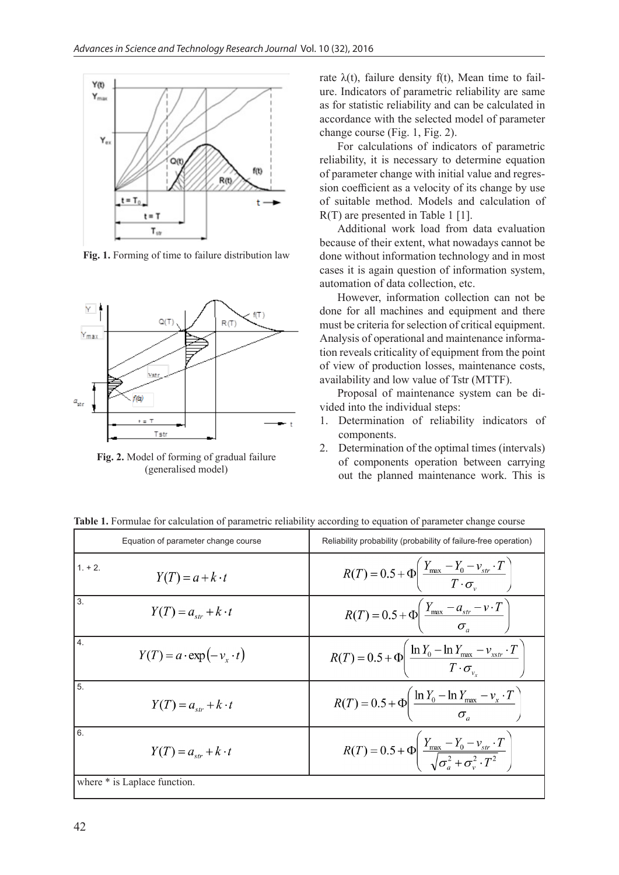

**Fig. 1.** Forming of time to failure distribution law



**Fig. 2.** Model of forming of gradual failure (generalised model)

rate  $\lambda(t)$ , failure density f(t), Mean time to failure. Indicators of parametric reliability are same as for statistic reliability and can be calculated in accordance with the selected model of parameter change course (Fig. 1, Fig. 2).

For calculations of indicators of parametric reliability, it is necessary to determine equation of parameter change with initial value and regression coefficient as a velocity of its change by use of suitable method. Models and calculation of R(T) are presented in Table 1 [1].

Additional work load from data evaluation because of their extent, what nowadays cannot be done without information technology and in most cases it is again question of information system, automation of data collection, etc.

However, information collection can not be done for all machines and equipment and there must be criteria for selection of critical equipment. Analysis of operational and maintenance information reveals criticality of equipment from the point of view of production losses, maintenance costs, availability and low value of Tstr (MTTF).

Proposal of maintenance system can be divided into the individual steps:

- 1. Determination of reliability indicators of components.
- 2. Determination of the optimal times (intervals) of components operation between carrying out the planned maintenance work. This is

| Equation of parameter change course       | Reliability probability (probability of failure-free operation)                                                             |
|-------------------------------------------|-----------------------------------------------------------------------------------------------------------------------------|
| $1. + 2.$<br>$Y(T) = a + k \cdot t$       | $R(T) = 0.5 + \Phi \left( \frac{Y_{\text{max}} - Y_0 - v_{\text{str}} \cdot T}{T \cdot \sigma} \right)$                     |
| 3.<br>$Y(T) = a_{str} + k \cdot t$        | $R(T) = 0.5 + \Phi \left( \frac{Y_{\text{max}} - a_{\text{str}} - v \cdot T}{\sigma_{\text{max}}} \right)$                  |
| 4.<br>$Y(T) = a \cdot \exp(-v_x \cdot t)$ | $R(T) = 0.5 + \Phi \left( \frac{\ln Y_0 - \ln Y_{\text{max}} - v_{\text{xstr}} \cdot T}{T \cdot \sigma_{\text{u}}} \right)$ |
| 5.<br>$Y(T) = a_{str} + k \cdot t$        | $R(T) = 0.5 + \Phi \left( \frac{\ln Y_0 - \ln Y_{\text{max}} - v_x \cdot T}{\sigma} \right)$                                |
| 6.<br>$Y(T) = a_{\text{at}} + k \cdot t$  | $R(T) = 0.5 + \Phi \left[ \frac{Y_{\text{max}} - Y_0 - v_{str} \cdot T}{\sqrt{\sigma^2 + \sigma^2 \cdot T^2}} \right]$      |
| where * is Laplace function.              |                                                                                                                             |

**Table 1.** Formulae for calculation of parametric reliability according to equation of parameter change course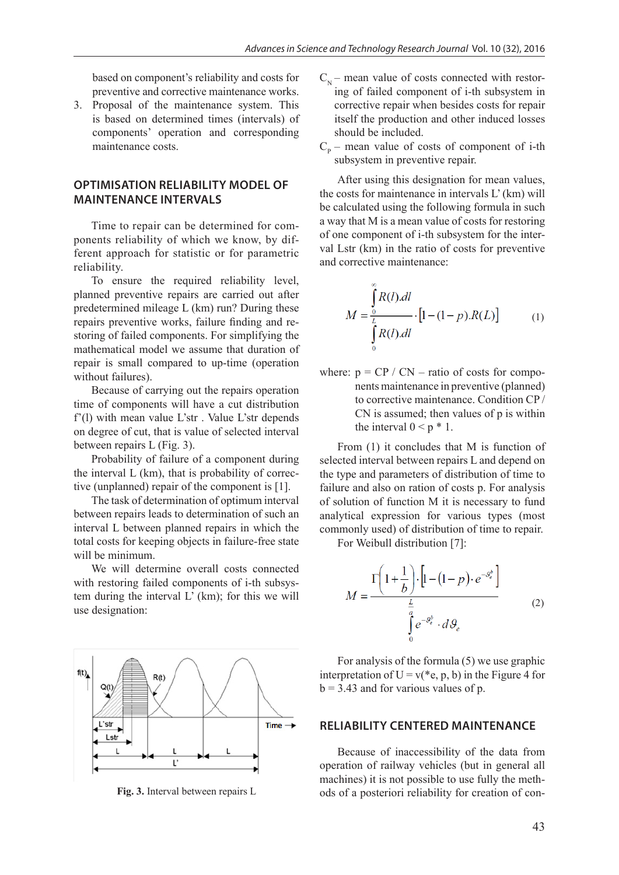based on component's reliability and costs for preventive and corrective maintenance works.

3. Proposal of the maintenance system. This is based on determined times (intervals) of components' operation and corresponding maintenance costs.

# **OPTIMISATION RELIABILITY MODEL OF MAINTENANCE INTERVALS**

Time to repair can be determined for components reliability of which we know, by different approach for statistic or for parametric reliability.

To ensure the required reliability level, planned preventive repairs are carried out after predetermined mileage L (km) run? During these repairs preventive works, failure finding and restoring of failed components. For simplifying the mathematical model we assume that duration of repair is small compared to up-time (operation without failures).

Because of carrying out the repairs operation time of components will have a cut distribution f'(l) with mean value L'str . Value L'str depends on degree of cut, that is value of selected interval between repairs L (Fig. 3).

Probability of failure of a component during the interval L (km), that is probability of corrective (unplanned) repair of the component is [1].

The task of determination of optimum interval between repairs leads to determination of such an interval L between planned repairs in which the total costs for keeping objects in failure-free state will be minimum.

We will determine overall costs connected with restoring failed components of i-th subsystem during the interval L' (km); for this we will use designation:



- $C_{N}$  mean value of costs connected with restoring of failed component of i-th subsystem in corrective repair when besides costs for repair itself the production and other induced losses should be included.
- $C_p$  mean value of costs of component of i-th subsystem in preventive repair.

After using this designation for mean values, the costs for maintenance in intervals L' (km) will be calculated using the following formula in such a way that M is a mean value of costs for restoring of one component of i-th subsystem for the interval Lstr (km) in the ratio of costs for preventive and corrective maintenance:

$$
M = \int_{\frac{L}{c}}^{\infty} \frac{R(l).dl}{[R(l).dl} \cdot [1 - (1 - p).R(L)] \tag{1}
$$

where:  $p = CP / CN - ratio$  of costs for components maintenance in preventive (planned) to corrective maintenance. Condition CP / CN is assumed; then values of p is within the interval  $0 \le p * 1$ .

From (1) it concludes that M is function of selected interval between repairs L and depend on the type and parameters of distribution of time to failure and also on ration of costs p. For analysis of solution of function M it is necessary to fund analytical expression for various types (most commonly used) of distribution of time to repair.

For Weibull distribution [7]:

$$
M = \frac{\Gamma\left(1 + \frac{1}{b}\right) \cdot \left[1 - (1 - p) \cdot e^{-\theta_e^b}\right]}{\int\limits_{0}^{a} e^{-\theta_e^b} \cdot d\theta_e}
$$
 (2)

For analysis of the formula (5) we use graphic interpretation of  $U = v(*e, p, b)$  in the Figure 4 for  $b = 3.43$  and for various values of p.

#### **RELIABILITY CENTERED MAINTENANCE**

Because of inaccessibility of the data from operation of railway vehicles (but in general all machines) it is not possible to use fully the meth-**Fig. 3.** Interval between repairs L ods of a posteriori reliability for creation of con-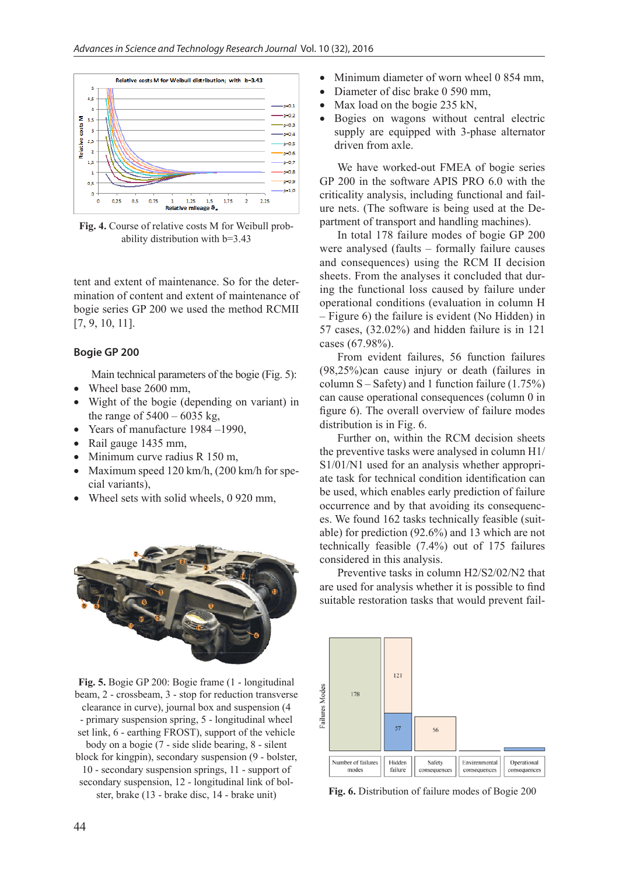

**Fig. 4.** Course of relative costs M for Weibull probability distribution with b=3.43

tent and extent of maintenance. So for the determination of content and extent of maintenance of bogie series GP 200 we used the method RCMII [7, 9, 10, 11].

#### **Bogie GP 200**

Main technical parameters of the bogie (Fig. 5):

- Wheel base 2600 mm.
- Wight of the bogie (depending on variant) in the range of  $5400 - 6035$  kg,
- Years of manufacture 1984 –1990,
- Rail gauge 1435 mm,
- Minimum curve radius R 150 m,
- Maximum speed 120 km/h, (200 km/h for special variants),
- Wheel sets with solid wheels, 0 920 mm,



**Fig. 5.** Bogie GP 200: Bogie frame (1 - longitudinal beam, 2 - crossbeam, 3 - stop for reduction transverse clearance in curve), journal box and suspension (4 - primary suspension spring, 5 - longitudinal wheel set link, 6 - earthing FROST), support of the vehicle body on a bogie (7 - side slide bearing, 8 - silent block for kingpin), secondary suspension (9 - bolster, 10 - secondary suspension springs, 11 - support of secondary suspension, 12 - longitudinal link of bolster, brake (13 - brake disc, 14 - brake unit) **Fig. 6.** Distribution of failure modes of Bogie 200

- Minimum diameter of worn wheel 0 854 mm,
- Diameter of disc brake 0 590 mm,
- Max load on the bogie 235 kN,
- Bogies on wagons without central electric supply are equipped with 3-phase alternator driven from axle.

We have worked-out FMEA of bogie series GP 200 in the software APIS PRO 6.0 with the criticality analysis, including functional and failure nets. (The software is being used at the Department of transport and handling machines).

In total 178 failure modes of bogie GP 200 were analysed (faults – formally failure causes and consequences) using the RCM II decision sheets. From the analyses it concluded that during the functional loss caused by failure under operational conditions (evaluation in column H – Figure 6) the failure is evident (No Hidden) in 57 cases, (32.02%) and hidden failure is in 121 cases (67.98%).

From evident failures, 56 function failures (98,25%)can cause injury or death (failures in column  $S -$  Safety) and 1 function failure (1.75%) can cause operational consequences (column 0 in figure 6). The overall overview of failure modes distribution is in Fig. 6.

Further on, within the RCM decision sheets the preventive tasks were analysed in column H1/ S1/01/N1 used for an analysis whether appropriate task for technical condition identification can be used, which enables early prediction of failure occurrence and by that avoiding its consequences. We found 162 tasks technically feasible (suitable) for prediction (92.6%) and 13 which are not technically feasible (7.4%) out of 175 failures considered in this analysis.

Preventive tasks in column H2/S2/02/N2 that are used for analysis whether it is possible to find suitable restoration tasks that would prevent fail-

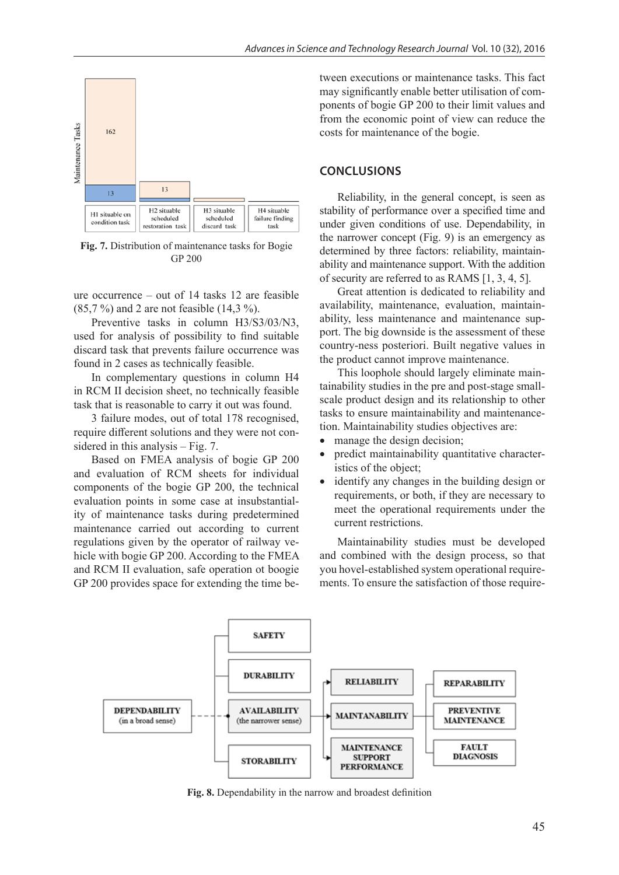

**Fig. 7.** Distribution of maintenance tasks for Bogie GP 200

ure occurrence – out of 14 tasks 12 are feasible (85,7 %) and 2 are not feasible (14,3 %).

Preventive tasks in column H3/S3/03/N3, used for analysis of possibility to find suitable discard task that prevents failure occurrence was found in 2 cases as technically feasible.

In complementary questions in column H4 in RCM II decision sheet, no technically feasible task that is reasonable to carry it out was found.

3 failure modes, out of total 178 recognised, require different solutions and they were not considered in this analysis – Fig. 7.

Based on FMEA analysis of bogie GP 200 and evaluation of RCM sheets for individual components of the bogie GP 200, the technical evaluation points in some case at insubstantiality of maintenance tasks during predetermined maintenance carried out according to current regulations given by the operator of railway vehicle with bogie GP 200. According to the FMEA and RCM II evaluation, safe operation ot boogie GP 200 provides space for extending the time between executions or maintenance tasks. This fact may significantly enable better utilisation of components of bogie GP 200 to their limit values and from the economic point of view can reduce the costs for maintenance of the bogie.

## **CONCLUSIONS**

Reliability, in the general concept, is seen as stability of performance over a specified time and under given conditions of use. Dependability, in the narrower concept (Fig. 9) is an emergency as determined by three factors: reliability, maintainability and maintenance support. With the addition of security are referred to as RAMS [1, 3, 4, 5].

Great attention is dedicated to reliability and availability, maintenance, evaluation, maintainability, less maintenance and maintenance support. The big downside is the assessment of these country-ness posteriori. Built negative values in the product cannot improve maintenance.

This loophole should largely eliminate maintainability studies in the pre and post-stage smallscale product design and its relationship to other tasks to ensure maintainability and maintenancetion. Maintainability studies objectives are:

- manage the design decision;
- predict maintainability quantitative characteristics of the object;
- identify any changes in the building design or requirements, or both, if they are necessary to meet the operational requirements under the current restrictions.

Maintainability studies must be developed and combined with the design process, so that you hovel-established system operational requirements. To ensure the satisfaction of those require-



**Fig. 8.** Dependability in the narrow and broadest definition